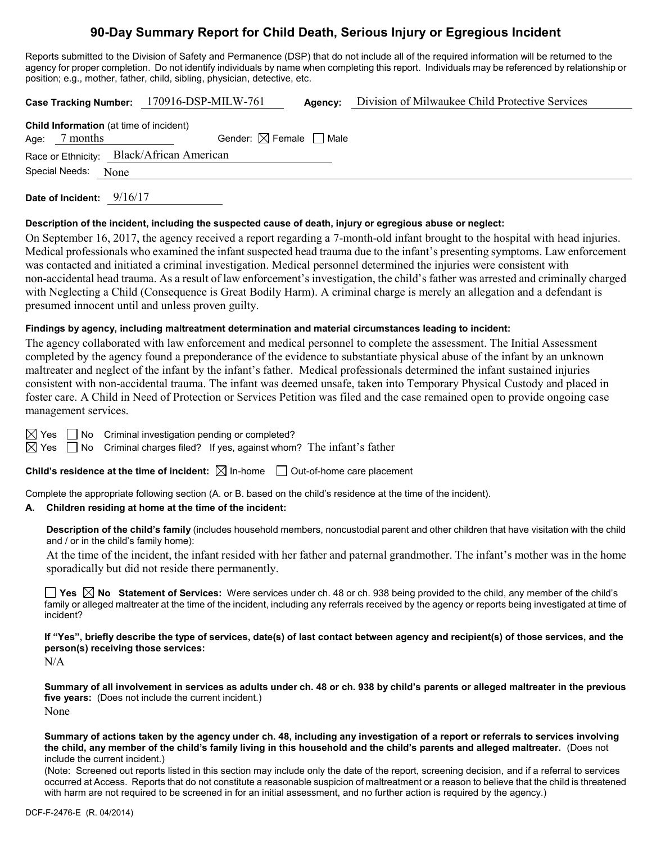# **90-Day Summary Report for Child Death, Serious Injury or Egregious Incident**

Reports submitted to the Division of Safety and Permanence (DSP) that do not include all of the required information will be returned to the agency for proper completion. Do not identify individuals by name when completing this report. Individuals may be referenced by relationship or position; e.g., mother, father, child, sibling, physician, detective, etc.

|                                                | Case Tracking Number: 170916-DSP-MILW-761 | Agency: | Division of Milwaukee Child Protective Services |  |  |  |  |
|------------------------------------------------|-------------------------------------------|---------|-------------------------------------------------|--|--|--|--|
| <b>Child Information</b> (at time of incident) |                                           |         |                                                 |  |  |  |  |
| 7 months<br>Age:                               | Gender: $\boxtimes$ Female $\Box$ Male    |         |                                                 |  |  |  |  |
| Race or Ethnicity: Black/African American      |                                           |         |                                                 |  |  |  |  |
| Special Needs:<br>None                         |                                           |         |                                                 |  |  |  |  |
|                                                |                                           |         |                                                 |  |  |  |  |

**Date of Incident:** 9/16/17

### **Description of the incident, including the suspected cause of death, injury or egregious abuse or neglect:**

On September 16, 2017, the agency received a report regarding a 7-month-old infant brought to the hospital with head injuries. Medical professionals who examined the infant suspected head trauma due to the infant's presenting symptoms. Law enforcement was contacted and initiated a criminal investigation. Medical personnel determined the injuries were consistent with non-accidental head trauma. As a result of law enforcement's investigation, the child's father was arrested and criminally charged with Neglecting a Child (Consequence is Great Bodily Harm). A criminal charge is merely an allegation and a defendant is presumed innocent until and unless proven guilty.

### **Findings by agency, including maltreatment determination and material circumstances leading to incident:**

The agency collaborated with law enforcement and medical personnel to complete the assessment. The Initial Assessment completed by the agency found a preponderance of the evidence to substantiate physical abuse of the infant by an unknown maltreater and neglect of the infant by the infant's father. Medical professionals determined the infant sustained injuries consistent with non-accidental trauma. The infant was deemed unsafe, taken into Temporary Physical Custody and placed in foster care. A Child in Need of Protection or Services Petition was filed and the case remained open to provide ongoing case management services.

 $\boxtimes$  Yes  $\Box$  No Criminal investigation pending or completed?

 $\boxtimes$  Yes  $\Box$  No Criminal charges filed? If yes, against whom? The infant's father

**Child's residence at the time of incident:**  $\boxtimes$  In-home  $\Box$  Out-of-home care placement

Complete the appropriate following section (A. or B. based on the child's residence at the time of the incident).

#### **A. Children residing at home at the time of the incident:**

**Description of the child's family** (includes household members, noncustodial parent and other children that have visitation with the child and / or in the child's family home):

At the time of the incident, the infant resided with her father and paternal grandmother. The infant's mother was in the home sporadically but did not reside there permanently.

**Yes No Statement of Services:** Were services under ch. 48 or ch. 938 being provided to the child, any member of the child's family or alleged maltreater at the time of the incident, including any referrals received by the agency or reports being investigated at time of incident?

**If "Yes", briefly describe the type of services, date(s) of last contact between agency and recipient(s) of those services, and the person(s) receiving those services:**

N/A

**Summary of all involvement in services as adults under ch. 48 or ch. 938 by child's parents or alleged maltreater in the previous five years:** (Does not include the current incident.) None

**Summary of actions taken by the agency under ch. 48, including any investigation of a report or referrals to services involving the child, any member of the child's family living in this household and the child's parents and alleged maltreater.** (Does not include the current incident.)

(Note: Screened out reports listed in this section may include only the date of the report, screening decision, and if a referral to services occurred at Access. Reports that do not constitute a reasonable suspicion of maltreatment or a reason to believe that the child is threatened with harm are not required to be screened in for an initial assessment, and no further action is required by the agency.)